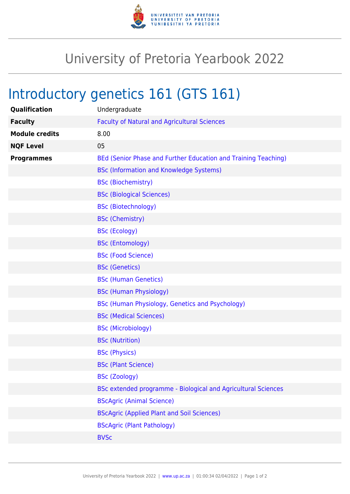

## University of Pretoria Yearbook 2022

## Introductory genetics 161 (GTS 161)

| Qualification         | Undergraduate                                                  |
|-----------------------|----------------------------------------------------------------|
| <b>Faculty</b>        | <b>Faculty of Natural and Agricultural Sciences</b>            |
| <b>Module credits</b> | 8.00                                                           |
| <b>NQF Level</b>      | 05                                                             |
| <b>Programmes</b>     | BEd (Senior Phase and Further Education and Training Teaching) |
|                       | <b>BSc (Information and Knowledge Systems)</b>                 |
|                       | <b>BSc (Biochemistry)</b>                                      |
|                       | <b>BSc (Biological Sciences)</b>                               |
|                       | <b>BSc (Biotechnology)</b>                                     |
|                       | <b>BSc (Chemistry)</b>                                         |
|                       | <b>BSc (Ecology)</b>                                           |
|                       | <b>BSc (Entomology)</b>                                        |
|                       | <b>BSc (Food Science)</b>                                      |
|                       | <b>BSc (Genetics)</b>                                          |
|                       | <b>BSc (Human Genetics)</b>                                    |
|                       | <b>BSc (Human Physiology)</b>                                  |
|                       | BSc (Human Physiology, Genetics and Psychology)                |
|                       | <b>BSc (Medical Sciences)</b>                                  |
|                       | <b>BSc (Microbiology)</b>                                      |
|                       | <b>BSc (Nutrition)</b>                                         |
|                       | <b>BSc (Physics)</b>                                           |
|                       | <b>BSc (Plant Science)</b>                                     |
|                       | <b>BSc (Zoology)</b>                                           |
|                       | BSc extended programme - Biological and Agricultural Sciences  |
|                       | <b>BScAgric (Animal Science)</b>                               |
|                       | <b>BScAgric (Applied Plant and Soil Sciences)</b>              |
|                       | <b>BScAgric (Plant Pathology)</b>                              |
|                       | <b>BVSc</b>                                                    |
|                       |                                                                |